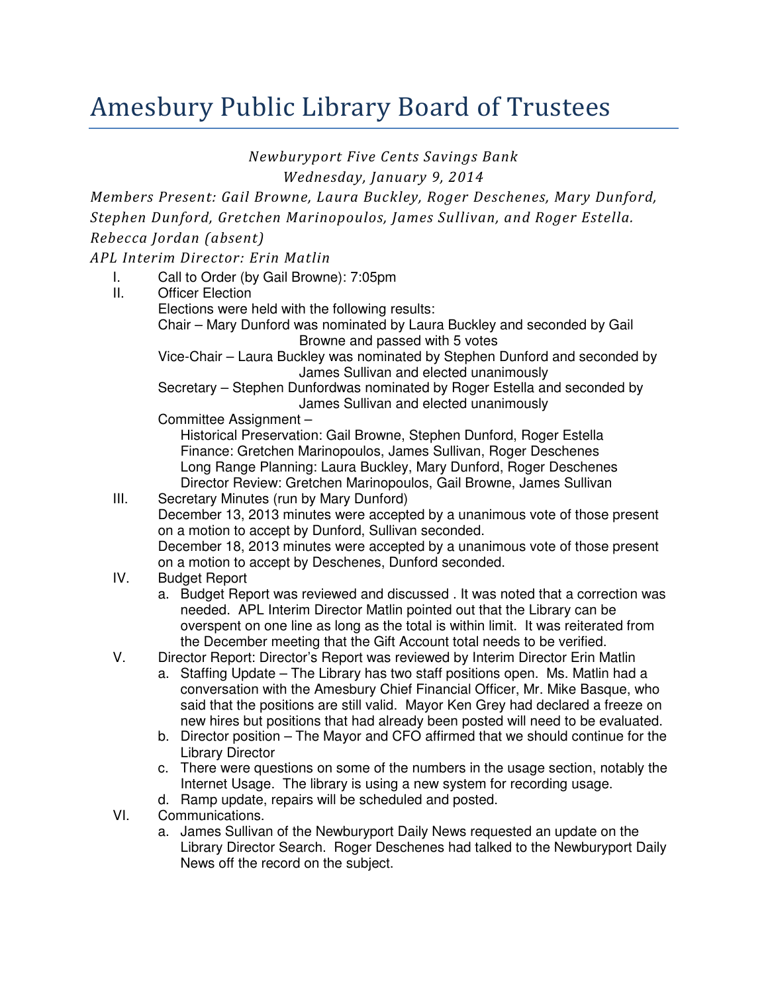## Amesbury Public Library Board of Trustees

Newburyport Five Cents Savings Bank

Wednesday, January 9, 2014

Members Present: Gail Browne, Laura Buckley, Roger Deschenes, Mary Dunford, Stephen Dunford, Gretchen Marinopoulos, James Sullivan, and Roger Estella. Rebecca Jordan (absent)

## APL Interim Director: Erin Matlin

- I. Call to Order (by Gail Browne): 7:05pm
- II. Officer Election Elections were held with the following results: Chair – Mary Dunford was nominated by Laura Buckley and seconded by Gail Browne and passed with 5 votes Vice-Chair – Laura Buckley was nominated by Stephen Dunford and seconded by

James Sullivan and elected unanimously Secretary – Stephen Dunfordwas nominated by Roger Estella and seconded by

James Sullivan and elected unanimously

Committee Assignment –

Historical Preservation: Gail Browne, Stephen Dunford, Roger Estella Finance: Gretchen Marinopoulos, James Sullivan, Roger Deschenes Long Range Planning: Laura Buckley, Mary Dunford, Roger Deschenes Director Review: Gretchen Marinopoulos, Gail Browne, James Sullivan

- III. Secretary Minutes (run by Mary Dunford) December 13, 2013 minutes were accepted by a unanimous vote of those present on a motion to accept by Dunford, Sullivan seconded. December 18, 2013 minutes were accepted by a unanimous vote of those present on a motion to accept by Deschenes, Dunford seconded.
- IV. Budget Report
	- a. Budget Report was reviewed and discussed . It was noted that a correction was needed. APL Interim Director Matlin pointed out that the Library can be overspent on one line as long as the total is within limit. It was reiterated from the December meeting that the Gift Account total needs to be verified.
- V. Director Report: Director's Report was reviewed by Interim Director Erin Matlin
	- a. Staffing Update The Library has two staff positions open. Ms. Matlin had a conversation with the Amesbury Chief Financial Officer, Mr. Mike Basque, who said that the positions are still valid. Mayor Ken Grey had declared a freeze on new hires but positions that had already been posted will need to be evaluated.
	- b. Director position The Mayor and CFO affirmed that we should continue for the Library Director
	- c. There were questions on some of the numbers in the usage section, notably the Internet Usage. The library is using a new system for recording usage.
	- d. Ramp update, repairs will be scheduled and posted.
- VI. Communications.
	- a. James Sullivan of the Newburyport Daily News requested an update on the Library Director Search. Roger Deschenes had talked to the Newburyport Daily News off the record on the subject.